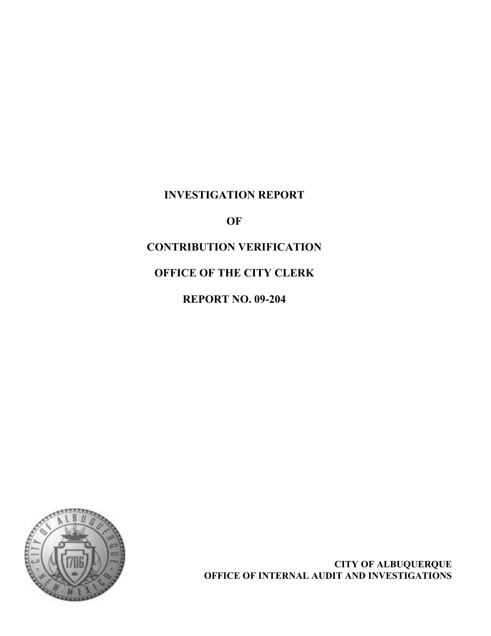# INVESTIGATION REPORT

OF

# CONTRIBUTION VERIFICATION

# OFFICE OF THE CITY CLERK

REPORT NO. 09-204



CITY OF ALBUQUERQUE OFFICE OF INTERNAL AUDIT AND INVESTIGATIONS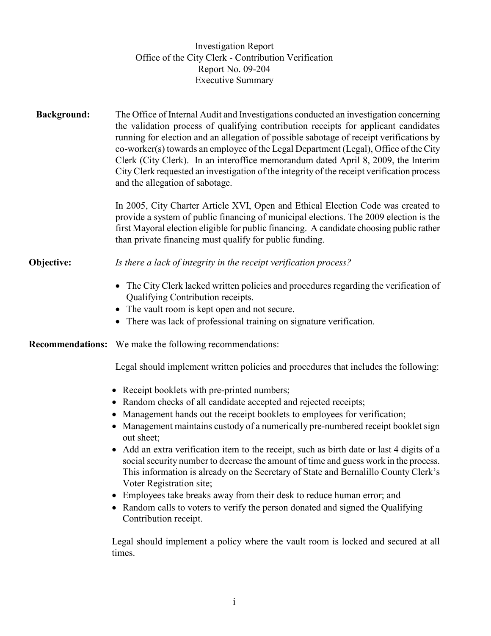|                    | <b>Investigation Report</b><br>Office of the City Clerk - Contribution Verification<br>Report No. 09-204<br><b>Executive Summary</b>                                                                                                                                                                                                                                                                                                                                                                                                                                                                                                                                                                                                                                                   |
|--------------------|----------------------------------------------------------------------------------------------------------------------------------------------------------------------------------------------------------------------------------------------------------------------------------------------------------------------------------------------------------------------------------------------------------------------------------------------------------------------------------------------------------------------------------------------------------------------------------------------------------------------------------------------------------------------------------------------------------------------------------------------------------------------------------------|
| <b>Background:</b> | The Office of Internal Audit and Investigations conducted an investigation concerning<br>the validation process of qualifying contribution receipts for applicant candidates<br>running for election and an allegation of possible sabotage of receipt verifications by<br>co-worker(s) towards an employee of the Legal Department (Legal), Office of the City<br>Clerk (City Clerk). In an interoffice memorandum dated April 8, 2009, the Interim<br>City Clerk requested an investigation of the integrity of the receipt verification process<br>and the allegation of sabotage.                                                                                                                                                                                                  |
|                    | In 2005, City Charter Article XVI, Open and Ethical Election Code was created to<br>provide a system of public financing of municipal elections. The 2009 election is the<br>first Mayoral election eligible for public financing. A candidate choosing public rather<br>than private financing must qualify for public funding.                                                                                                                                                                                                                                                                                                                                                                                                                                                       |
| Objective:         | Is there a lack of integrity in the receipt verification process?                                                                                                                                                                                                                                                                                                                                                                                                                                                                                                                                                                                                                                                                                                                      |
|                    | The City Clerk lacked written policies and procedures regarding the verification of<br>Qualifying Contribution receipts.<br>• The vault room is kept open and not secure.<br>• There was lack of professional training on signature verification.                                                                                                                                                                                                                                                                                                                                                                                                                                                                                                                                      |
|                    | <b>Recommendations:</b> We make the following recommendations:                                                                                                                                                                                                                                                                                                                                                                                                                                                                                                                                                                                                                                                                                                                         |
|                    | Legal should implement written policies and procedures that includes the following:                                                                                                                                                                                                                                                                                                                                                                                                                                                                                                                                                                                                                                                                                                    |
|                    | • Receipt booklets with pre-printed numbers;<br>• Random checks of all candidate accepted and rejected receipts;<br>Management hands out the receipt booklets to employees for verification;<br>Management maintains custody of a numerically pre-numbered receipt booklet sign<br>out sheet;<br>Add an extra verification item to the receipt, such as birth date or last 4 digits of a<br>social security number to decrease the amount of time and guess work in the process.<br>This information is already on the Secretary of State and Bernalillo County Clerk's<br>Voter Registration site;<br>Employees take breaks away from their desk to reduce human error; and<br>Random calls to voters to verify the person donated and signed the Qualifying<br>Contribution receipt. |
|                    |                                                                                                                                                                                                                                                                                                                                                                                                                                                                                                                                                                                                                                                                                                                                                                                        |

Legal should implement a policy where the vault room is locked and secured at all times.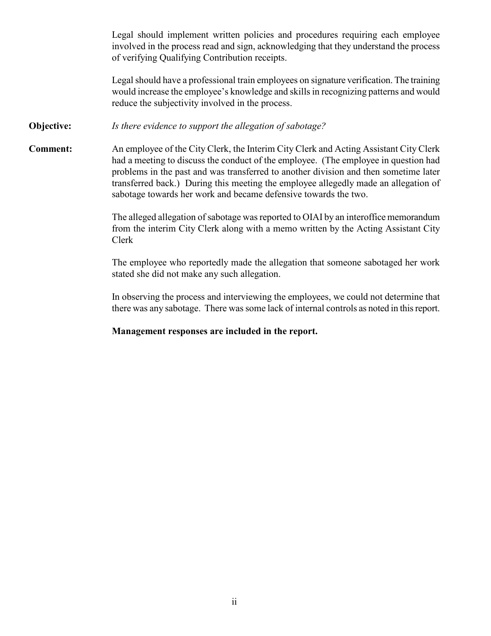Legal should implement written policies and procedures requiring each employee involved in the process read and sign, acknowledging that they understand the process of verifying Qualifying Contribution receipts.

Legal should have a professional train employees on signature verification. The training would increase the employee's knowledge and skills in recognizing patterns and would reduce the subjectivity involved in the process.

#### **Objective:** *Is there evidence to support the allegation of sabotage?*

Comment: An employee of the City Clerk, the Interim City Clerk and Acting Assistant City Clerk had a meeting to discuss the conduct of the employee. (The employee in question had problems in the past and was transferred to another division and then sometime later transferred back.) During this meeting the employee allegedly made an allegation of sabotage towards her work and became defensive towards the two.

> The alleged allegation of sabotage was reported to OIAI by an interoffice memorandum from the interim City Clerk along with a memo written by the Acting Assistant City Clerk

> The employee who reportedly made the allegation that someone sabotaged her work stated she did not make any such allegation.

> In observing the process and interviewing the employees, we could not determine that there was any sabotage. There was some lack of internal controls as noted in this report.

## Management responses are included in the report.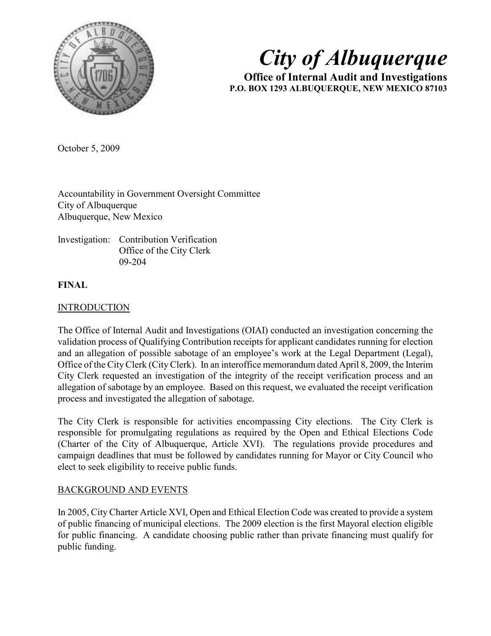

# City of Albuquerque

Office of Internal Audit and Investigations P.O. BOX 1293 ALBUQUERQUE, NEW MEXICO 87103

October 5, 2009

Accountability in Government Oversight Committee City of Albuquerque Albuquerque, New Mexico

Investigation: Contribution Verification Office of the City Clerk 09-204

# FINAL

# **INTRODUCTION**

The Office of Internal Audit and Investigations (OIAI) conducted an investigation concerning the validation process of Qualifying Contribution receipts for applicant candidates running for election and an allegation of possible sabotage of an employee's work at the Legal Department (Legal), Office of the City Clerk (City Clerk). In an interoffice memorandum dated April 8, 2009, the Interim City Clerk requested an investigation of the integrity of the receipt verification process and an allegation of sabotage by an employee. Based on this request, we evaluated the receipt verification process and investigated the allegation of sabotage.

The City Clerk is responsible for activities encompassing City elections. The City Clerk is responsible for promulgating regulations as required by the Open and Ethical Elections Code (Charter of the City of Albuquerque, Article XVI). The regulations provide procedures and campaign deadlines that must be followed by candidates running for Mayor or City Council who elect to seek eligibility to receive public funds.

# BACKGROUND AND EVENTS

In 2005, City Charter Article XVI, Open and Ethical Election Code was created to provide a system of public financing of municipal elections. The 2009 election is the first Mayoral election eligible for public financing. A candidate choosing public rather than private financing must qualify for public funding.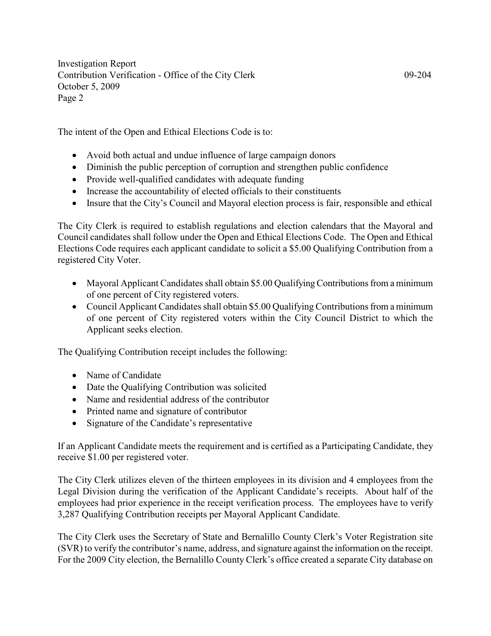The intent of the Open and Ethical Elections Code is to:

- Avoid both actual and undue influence of large campaign donors
- Diminish the public perception of corruption and strengthen public confidence
- Provide well-qualified candidates with adequate funding
- Increase the accountability of elected officials to their constituents
- Insure that the City's Council and Mayoral election process is fair, responsible and ethical

The City Clerk is required to establish regulations and election calendars that the Mayoral and Council candidates shall follow under the Open and Ethical Elections Code. The Open and Ethical Elections Code requires each applicant candidate to solicit a \$5.00 Qualifying Contribution from a registered City Voter.

- Mayoral Applicant Candidates shall obtain \$5.00 Qualifying Contributions from a minimum of one percent of City registered voters.
- Council Applicant Candidates shall obtain \$5.00 Qualifying Contributions from a minimum of one percent of City registered voters within the City Council District to which the Applicant seeks election.

The Qualifying Contribution receipt includes the following:

- Name of Candidate
- Date the Qualifying Contribution was solicited
- Name and residential address of the contributor
- Printed name and signature of contributor
- Signature of the Candidate's representative

If an Applicant Candidate meets the requirement and is certified as a Participating Candidate, they receive \$1.00 per registered voter.

The City Clerk utilizes eleven of the thirteen employees in its division and 4 employees from the Legal Division during the verification of the Applicant Candidate's receipts. About half of the employees had prior experience in the receipt verification process. The employees have to verify 3,287 Qualifying Contribution receipts per Mayoral Applicant Candidate.

The City Clerk uses the Secretary of State and Bernalillo County Clerk's Voter Registration site (SVR) to verify the contributor's name, address, and signature against the information on the receipt. For the 2009 City election, the Bernalillo County Clerk's office created a separate City database on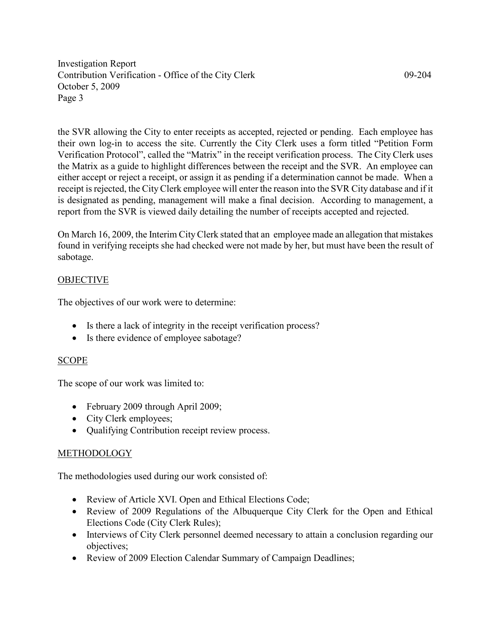the SVR allowing the City to enter receipts as accepted, rejected or pending. Each employee has their own log-in to access the site. Currently the City Clerk uses a form titled "Petition Form Verification Protocol", called the "Matrix" in the receipt verification process. The City Clerk uses the Matrix as a guide to highlight differences between the receipt and the SVR. An employee can either accept or reject a receipt, or assign it as pending if a determination cannot be made. When a receipt is rejected, the City Clerk employee will enter the reason into the SVR City database and if it is designated as pending, management will make a final decision. According to management, a report from the SVR is viewed daily detailing the number of receipts accepted and rejected.

On March 16, 2009, the Interim City Clerk stated that an employee made an allegation that mistakes found in verifying receipts she had checked were not made by her, but must have been the result of sabotage.

# OBJECTIVE

The objectives of our work were to determine:

- Is there a lack of integrity in the receipt verification process?
- Is there evidence of employee sabotage?

#### SCOPE

The scope of our work was limited to:

- February 2009 through April 2009;
- City Clerk employees;
- Qualifying Contribution receipt review process.

#### METHODOLOGY

The methodologies used during our work consisted of:

- Review of Article XVI. Open and Ethical Elections Code;
- Review of 2009 Regulations of the Albuquerque City Clerk for the Open and Ethical Elections Code (City Clerk Rules);
- Interviews of City Clerk personnel deemed necessary to attain a conclusion regarding our objectives;
- Review of 2009 Election Calendar Summary of Campaign Deadlines;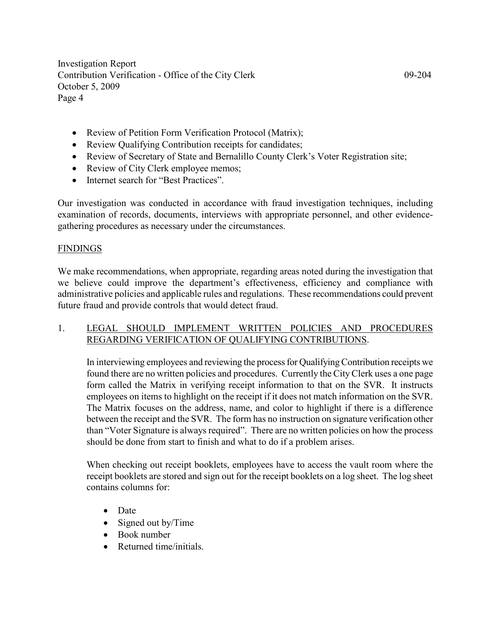- Review of Petition Form Verification Protocol (Matrix);
- Review Qualifying Contribution receipts for candidates;
- Review of Secretary of State and Bernalillo County Clerk's Voter Registration site;
- Review of City Clerk employee memos;
- Internet search for "Best Practices".

Our investigation was conducted in accordance with fraud investigation techniques, including examination of records, documents, interviews with appropriate personnel, and other evidencegathering procedures as necessary under the circumstances.

#### **FINDINGS**

We make recommendations, when appropriate, regarding areas noted during the investigation that we believe could improve the department's effectiveness, efficiency and compliance with administrative policies and applicable rules and regulations. These recommendations could prevent future fraud and provide controls that would detect fraud.

# 1. LEGAL SHOULD IMPLEMENT WRITTEN POLICIES AND PROCEDURES REGARDING VERIFICATION OF QUALIFYING CONTRIBUTIONS.

In interviewing employees and reviewing the process for Qualifying Contribution receipts we found there are no written policies and procedures. Currently the City Clerk uses a one page form called the Matrix in verifying receipt information to that on the SVR. It instructs employees on items to highlight on the receipt if it does not match information on the SVR. The Matrix focuses on the address, name, and color to highlight if there is a difference between the receipt and the SVR. The form has no instruction on signature verification other than "Voter Signature is always required". There are no written policies on how the process should be done from start to finish and what to do if a problem arises.

When checking out receipt booklets, employees have to access the vault room where the receipt booklets are stored and sign out for the receipt booklets on a log sheet. The log sheet contains columns for:

- Date
- Signed out by/Time
- Book number
- Returned time/initials.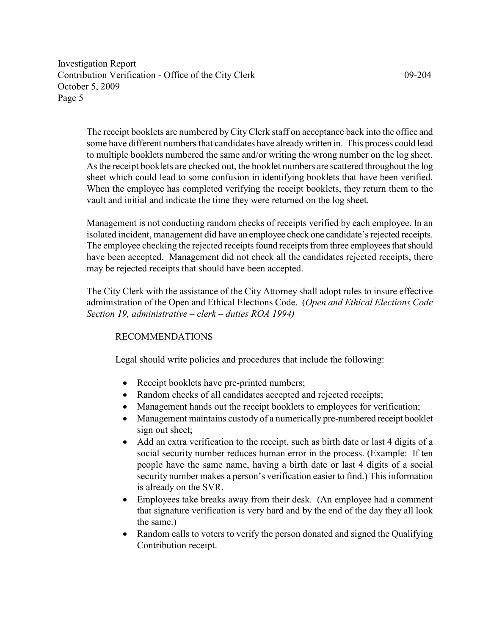The receipt booklets are numbered by City Clerk staff on acceptance back into the office and some have different numbers that candidates have already written in. This process could lead to multiple booklets numbered the same and/or writing the wrong number on the log sheet. As the receipt booklets are checked out, the booklet numbers are scattered throughout the log sheet which could lead to some confusion in identifying booklets that have been verified. When the employee has completed verifying the receipt booklets, they return them to the vault and initial and indicate the time they were returned on the log sheet.

Management is not conducting random checks of receipts verified by each employee. In an isolated incident, management did have an employee check one candidate's rejected receipts. The employee checking the rejected receipts found receipts from three employees that should have been accepted. Management did not check all the candidates rejected receipts, there may be rejected receipts that should have been accepted.

The City Clerk with the assistance of the City Attorney shall adopt rules to insure effective administration of the Open and Ethical Elections Code. (Open and Ethical Elections Code Section 19, administrative – clerk – duties ROA 1994)

# RECOMMENDATIONS

Legal should write policies and procedures that include the following:

- Receipt booklets have pre-printed numbers;
- Random checks of all candidates accepted and rejected receipts;
- Management hands out the receipt booklets to employees for verification;
- Management maintains custody of a numerically pre-numbered receipt booklet sign out sheet;
- Add an extra verification to the receipt, such as birth date or last 4 digits of a social security number reduces human error in the process. (Example: If ten people have the same name, having a birth date or last 4 digits of a social security number makes a person's verification easier to find.) This information is already on the SVR.
- Employees take breaks away from their desk. (An employee had a comment that signature verification is very hard and by the end of the day they all look the same.)
- Random calls to voters to verify the person donated and signed the Qualifying Contribution receipt.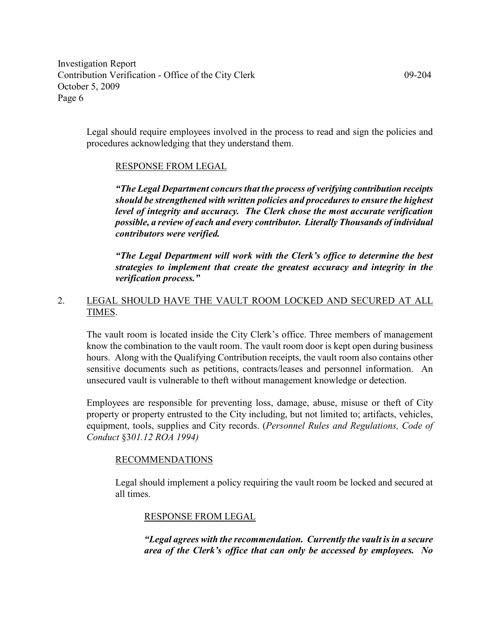Legal should require employees involved in the process to read and sign the policies and procedures acknowledging that they understand them.

# RESPONSE FROM LEGAL

"The Legal Department concurs that the process of verifying contribution receipts should be strengthened with written policies and procedures to ensure the highest level of integrity and accuracy. The Clerk chose the most accurate verification possible, a review of each and every contributor. Literally Thousands of individual contributors were verified.

"The Legal Department will work with the Clerk's office to determine the best strategies to implement that create the greatest accuracy and integrity in the verification process."

# 2. LEGAL SHOULD HAVE THE VAULT ROOM LOCKED AND SECURED AT ALL TIMES.

The vault room is located inside the City Clerk's office. Three members of management know the combination to the vault room. The vault room door is kept open during business hours. Along with the Qualifying Contribution receipts, the vault room also contains other sensitive documents such as petitions, contracts/leases and personnel information. An unsecured vault is vulnerable to theft without management knowledge or detection.

Employees are responsible for preventing loss, damage, abuse, misuse or theft of City property or property entrusted to the City including, but not limited to; artifacts, vehicles, equipment, tools, supplies and City records. (Personnel Rules and Regulations, Code of Conduct §301.12 ROA 1994)

#### RECOMMENDATIONS

Legal should implement a policy requiring the vault room be locked and secured at all times.

# RESPONSE FROM LEGAL

"Legal agrees with the recommendation. Currently the vault is in a secure area of the Clerk's office that can only be accessed by employees. No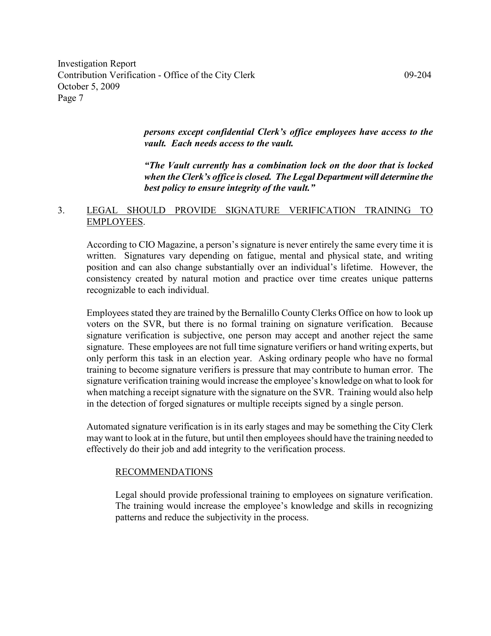> persons except confidential Clerk's office employees have access to the vault. Each needs access to the vault.

> "The Vault currently has a combination lock on the door that is locked when the Clerk's office is closed. The Legal Department will determine the best policy to ensure integrity of the vault."

## 3. LEGAL SHOULD PROVIDE SIGNATURE VERIFICATION TRAINING TO EMPLOYEES.

According to CIO Magazine, a person's signature is never entirely the same every time it is written. Signatures vary depending on fatigue, mental and physical state, and writing position and can also change substantially over an individual's lifetime. However, the consistency created by natural motion and practice over time creates unique patterns recognizable to each individual.

Employees stated they are trained by the Bernalillo County Clerks Office on how to look up voters on the SVR, but there is no formal training on signature verification. Because signature verification is subjective, one person may accept and another reject the same signature. These employees are not full time signature verifiers or hand writing experts, but only perform this task in an election year. Asking ordinary people who have no formal training to become signature verifiers is pressure that may contribute to human error. The signature verification training would increase the employee's knowledge on what to look for when matching a receipt signature with the signature on the SVR. Training would also help in the detection of forged signatures or multiple receipts signed by a single person.

Automated signature verification is in its early stages and may be something the City Clerk may want to look at in the future, but until then employees should have the training needed to effectively do their job and add integrity to the verification process.

#### RECOMMENDATIONS

Legal should provide professional training to employees on signature verification. The training would increase the employee's knowledge and skills in recognizing patterns and reduce the subjectivity in the process.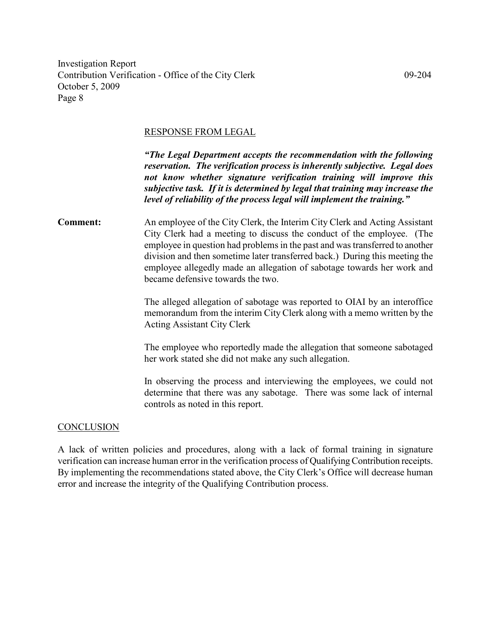#### RESPONSE FROM LEGAL

"The Legal Department accepts the recommendation with the following reservation. The verification process is inherently subjective. Legal does not know whether signature verification training will improve this subjective task. If it is determined by legal that training may increase the level of reliability of the process legal will implement the training."

Comment: An employee of the City Clerk, the Interim City Clerk and Acting Assistant City Clerk had a meeting to discuss the conduct of the employee. (The employee in question had problems in the past and was transferred to another division and then sometime later transferred back.) During this meeting the employee allegedly made an allegation of sabotage towards her work and became defensive towards the two.

> The alleged allegation of sabotage was reported to OIAI by an interoffice memorandum from the interim City Clerk along with a memo written by the Acting Assistant City Clerk

> The employee who reportedly made the allegation that someone sabotaged her work stated she did not make any such allegation.

> In observing the process and interviewing the employees, we could not determine that there was any sabotage. There was some lack of internal controls as noted in this report.

#### **CONCLUSION**

A lack of written policies and procedures, along with a lack of formal training in signature verification can increase human error in the verification process of Qualifying Contribution receipts. By implementing the recommendations stated above, the City Clerk's Office will decrease human error and increase the integrity of the Qualifying Contribution process.